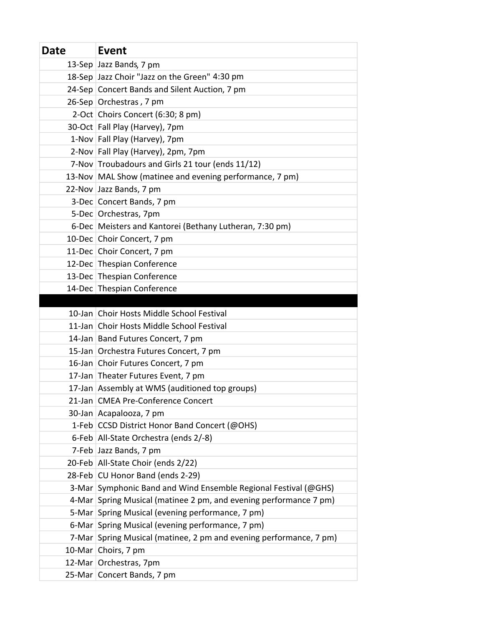| <b>Date</b> | Event                                                              |
|-------------|--------------------------------------------------------------------|
|             | 13-Sep Jazz Bands, 7 pm                                            |
|             | 18-Sep Jazz Choir "Jazz on the Green" 4:30 pm                      |
|             | 24-Sep Concert Bands and Silent Auction, 7 pm                      |
|             | 26-Sep Orchestras, 7 pm                                            |
|             | 2-Oct Choirs Concert (6:30; 8 pm)                                  |
|             | 30-Oct Fall Play (Harvey), 7pm                                     |
|             | 1-Nov Fall Play (Harvey), 7pm                                      |
|             | 2-Nov Fall Play (Harvey), 2pm, 7pm                                 |
|             | 7-Nov Troubadours and Girls 21 tour (ends 11/12)                   |
|             | 13-Nov MAL Show (matinee and evening performance, 7 pm)            |
|             | 22-Nov Jazz Bands, 7 pm                                            |
|             | 3-Dec Concert Bands, 7 pm                                          |
|             | 5-Dec Orchestras, 7pm                                              |
|             | 6-Dec Meisters and Kantorei (Bethany Lutheran, 7:30 pm)            |
|             | 10-Dec Choir Concert, 7 pm                                         |
|             | 11-Dec Choir Concert, 7 pm                                         |
|             | 12-Dec Thespian Conference                                         |
|             | 13-Dec Thespian Conference                                         |
|             | 14-Dec Thespian Conference                                         |
|             |                                                                    |
|             | 10-Jan Choir Hosts Middle School Festival                          |
|             | 11-Jan Choir Hosts Middle School Festival                          |
|             | 14-Jan Band Futures Concert, 7 pm                                  |
|             | 15-Jan Orchestra Futures Concert, 7 pm                             |
|             | 16-Jan Choir Futures Concert, 7 pm                                 |
|             | 17-Jan Theater Futures Event, 7 pm                                 |
|             | 17-Jan Assembly at WMS (auditioned top groups)                     |
|             | 21-Jan CMEA Pre-Conference Concert                                 |
|             | 30-Jan Acapalooza, 7 pm                                            |
|             | 1-Feb CCSD District Honor Band Concert (@OHS)                      |
|             | 6-Feb   All-State Orchestra (ends 2/-8)                            |
|             | 7-Feb Jazz Bands, 7 pm                                             |
|             | 20-Feb All-State Choir (ends 2/22)                                 |
|             | 28-Feb CU Honor Band (ends 2-29)                                   |
|             | 3-Mar Symphonic Band and Wind Ensemble Regional Festival (@GHS)    |
|             | 4-Mar Spring Musical (matinee 2 pm, and evening performance 7 pm)  |
|             | 5-Mar Spring Musical (evening performance, 7 pm)                   |
|             | 6-Mar Spring Musical (evening performance, 7 pm)                   |
|             | 7-Mar Spring Musical (matinee, 2 pm and evening performance, 7 pm) |
|             | 10-Mar Choirs, 7 pm                                                |
|             | 12-Mar   Orchestras, 7pm                                           |
|             | 25-Mar Concert Bands, 7 pm                                         |